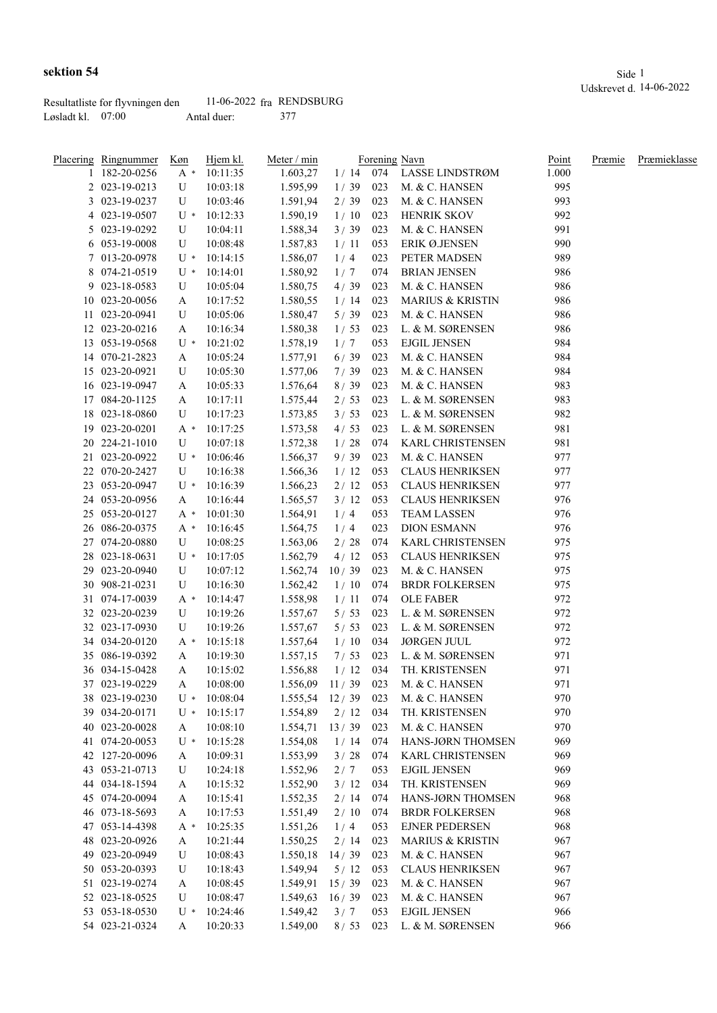|                     | Resultatliste for flyvningen den | $11-06-2022$ fra RENDSBURG |  |
|---------------------|----------------------------------|----------------------------|--|
| Løsladt kl. $07:00$ |                                  | Antal duer:                |  |

|    | <u>Placering Ringnummer</u> | Køn   | Hjem kl. | Meter / min |        |     | Forening Navn               | Point | Præmie | Præmieklasse |
|----|-----------------------------|-------|----------|-------------|--------|-----|-----------------------------|-------|--------|--------------|
|    | 182-20-0256                 | $A^*$ | 10:11:35 | 1.603,27    | 1/14   | 074 | LASSE LINDSTRØM             | 1.000 |        |              |
|    | 2 023-19-0213               | U     | 10:03:18 | 1.595,99    | 1/39   | 023 | M. & C. HANSEN              | 995   |        |              |
|    | 3 023-19-0237               | U     | 10:03:46 | 1.591,94    | 2/39   | 023 | M. & C. HANSEN              | 993   |        |              |
|    | 4 023-19-0507               | $U^*$ | 10:12:33 | 1.590,19    | 1/10   | 023 | HENRIK SKOV                 | 992   |        |              |
|    | 5 023-19-0292               | U     | 10:04:11 | 1.588,34    | 3/39   | 023 | M. & C. HANSEN              | 991   |        |              |
|    | 6 053-19-0008               | U     | 10:08:48 | 1.587,83    | 1/11   | 053 | ERIK Ø.JENSEN               | 990   |        |              |
|    | 7 013-20-0978               | $U^*$ | 10:14:15 | 1.586,07    | 1/4    | 023 | PETER MADSEN                | 989   |        |              |
|    | 8 074-21-0519               | $U^*$ | 10:14:01 | 1.580,92    | 1/7    | 074 | <b>BRIAN JENSEN</b>         | 986   |        |              |
| 9. | 023-18-0583                 | U     | 10:05:04 | 1.580,75    | 4/39   | 023 | M. & C. HANSEN              | 986   |        |              |
|    | 10 023-20-0056              | A     | 10:17:52 | 1.580,55    | 1/14   | 023 | <b>MARIUS &amp; KRISTIN</b> | 986   |        |              |
| 11 | 023-20-0941                 | U     | 10:05:06 | 1.580,47    | 5/39   | 023 | M. & C. HANSEN              | 986   |        |              |
| 12 | 023-20-0216                 | A     | 10:16:34 | 1.580,38    | 1/53   | 023 | L. & M. SØRENSEN            | 986   |        |              |
| 13 | 053-19-0568                 | U *   | 10:21:02 | 1.578,19    | 1/7    | 053 | <b>EJGIL JENSEN</b>         | 984   |        |              |
| 14 | 070-21-2823                 | A     | 10:05:24 | 1.577,91    | 6/39   | 023 | M. & C. HANSEN              | 984   |        |              |
| 15 | 023-20-0921                 | U     | 10:05:30 | 1.577,06    | 7/39   | 023 | M. & C. HANSEN              | 984   |        |              |
|    | 16 023-19-0947              | A     | 10:05:33 | 1.576,64    | 8/39   | 023 | M. & C. HANSEN              | 983   |        |              |
| 17 | 084-20-1125                 | A     | 10:17:11 | 1.575,44    | 2/53   | 023 | L. & M. SØRENSEN            | 983   |        |              |
| 18 | 023-18-0860                 | U     | 10:17:23 | 1.573,85    | 3/53   | 023 | L. & M. SØRENSEN            | 982   |        |              |
| 19 | 023-20-0201                 | $A^*$ | 10:17:25 | 1.573,58    | 4/53   | 023 | L. & M. SØRENSEN            | 981   |        |              |
| 20 | 224-21-1010                 | U     | 10:07:18 | 1.572,38    | 1/28   | 074 | KARL CHRISTENSEN            | 981   |        |              |
|    | 21 023-20-0922              | $U^*$ | 10:06:46 | 1.566,37    | 9/39   | 023 | M. & C. HANSEN              | 977   |        |              |
|    |                             |       |          |             |        |     |                             |       |        |              |
| 22 | 070-20-2427                 | U     | 10:16:38 | 1.566,36    | 1/12   | 053 | <b>CLAUS HENRIKSEN</b>      | 977   |        |              |
| 23 | 053-20-0947                 | $U^*$ | 10:16:39 | 1.566,23    | 2/12   | 053 | <b>CLAUS HENRIKSEN</b>      | 977   |        |              |
|    | 24 053-20-0956              | A     | 10:16:44 | 1.565,57    | 3/12   | 053 | <b>CLAUS HENRIKSEN</b>      | 976   |        |              |
|    | 25 053-20-0127              | A *   | 10:01:30 | 1.564,91    | 1/4    | 053 | <b>TEAM LASSEN</b>          | 976   |        |              |
|    | 26 086-20-0375              | $A^*$ | 10:16:45 | 1.564,75    | 1/4    | 023 | <b>DION ESMANN</b>          | 976   |        |              |
| 27 | 074-20-0880                 | U     | 10:08:25 | 1.563,06    | $2/28$ | 074 | <b>KARL CHRISTENSEN</b>     | 975   |        |              |
| 28 | 023-18-0631                 | $U^*$ | 10:17:05 | 1.562,79    | 4/12   | 053 | <b>CLAUS HENRIKSEN</b>      | 975   |        |              |
| 29 | 023-20-0940                 | U     | 10:07:12 | 1.562,74    | 10/39  | 023 | M. & C. HANSEN              | 975   |        |              |
| 30 | 908-21-0231                 | U     | 10:16:30 | 1.562,42    | 1/10   | 074 | <b>BRDR FOLKERSEN</b>       | 975   |        |              |
| 31 | 074-17-0039                 | A *   | 10:14:47 | 1.558,98    | 1/11   | 074 | <b>OLE FABER</b>            | 972   |        |              |
|    | 32 023-20-0239              | U     | 10:19:26 | 1.557,67    | 5/53   | 023 | L. & M. SØRENSEN            | 972   |        |              |
|    | 32 023-17-0930              | U     | 10:19:26 | 1.557,67    | 5/53   | 023 | L. & M. SØRENSEN            | 972   |        |              |
|    | 34 034-20-0120              | $A^*$ | 10:15:18 | 1.557,64    | 1/10   | 034 | <b>JØRGEN JUUL</b>          | 972   |        |              |
|    | 35 086-19-0392              | A     | 10:19:30 | 1.557,15    | 7/53   | 023 | L. & M. SØRENSEN            | 971   |        |              |
|    | 36 034-15-0428              | A     | 10:15:02 | 1.556,88    | 1/12   | 034 | TH. KRISTENSEN              | 971   |        |              |
|    | 37 023-19-0229              | A     | 10:08:00 | 1.556,09    | 11/39  | 023 | M. & C. HANSEN              | 971   |        |              |
|    | 38 023-19-0230              | U *   | 10:08:04 | 1.555,54    | 12/39  | 023 | M. & C. HANSEN              | 970   |        |              |
|    | 39 034-20-0171              | $U^*$ | 10:15:17 | 1.554,89    | 2/12   | 034 | TH. KRISTENSEN              | 970   |        |              |
|    | 40 023-20-0028              | A     | 10:08:10 | 1.554,71    | 13/39  | 023 | M. & C. HANSEN              | 970   |        |              |
|    | 41 074-20-0053              | $U^*$ | 10:15:28 | 1.554,08    | 1/14   | 074 | HANS-JØRN THOMSEN           | 969   |        |              |
|    | 42 127-20-0096              | A     | 10:09:31 | 1.553,99    | 3/28   | 074 | KARL CHRISTENSEN            | 969   |        |              |
|    | 43 053-21-0713              | U     | 10:24:18 | 1.552,96    | 2/7    | 053 | <b>EJGIL JENSEN</b>         | 969   |        |              |
|    | 44 034-18-1594              | A     | 10:15:32 | 1.552,90    | 3/12   | 034 | TH. KRISTENSEN              | 969   |        |              |
|    | 45 074-20-0094              | A     | 10:15:41 | 1.552,35    | 2/14   | 074 | HANS-JØRN THOMSEN           | 968   |        |              |
|    | 46 073-18-5693              | A     | 10:17:53 | 1.551,49    | 2/10   | 074 | <b>BRDR FOLKERSEN</b>       | 968   |        |              |
|    | 47 053-14-4398              | A *   | 10:25:35 | 1.551,26    | 1/4    | 053 | <b>EJNER PEDERSEN</b>       | 968   |        |              |
|    | 48 023-20-0926              | A     | 10:21:44 | 1.550,25    | 2/14   | 023 | <b>MARIUS &amp; KRISTIN</b> | 967   |        |              |
|    | 49 023-20-0949              | U     | 10:08:43 | 1.550,18    | 14/39  | 023 | M. & C. HANSEN              | 967   |        |              |
|    | 50 053-20-0393              | U     | 10:18:43 | 1.549,94    | 5/12   | 053 | <b>CLAUS HENRIKSEN</b>      | 967   |        |              |
|    | 51 023-19-0274              | A     | 10:08:45 | 1.549,91    | 15/39  | 023 | M. & C. HANSEN              | 967   |        |              |
|    | 52 023-18-0525              | U     | 10:08:47 | 1.549,63    | 16/39  | 023 | M. & C. HANSEN              | 967   |        |              |
|    |                             | $U^*$ |          |             |        |     |                             | 966   |        |              |
|    | 53 053-18-0530              |       | 10:24:46 | 1.549,42    | 3/7    | 053 | <b>EJGIL JENSEN</b>         |       |        |              |
|    | 54 023-21-0324              | A     | 10:20:33 | 1.549,00    | 8/53   | 023 | L. & M. SØRENSEN            | 966   |        |              |